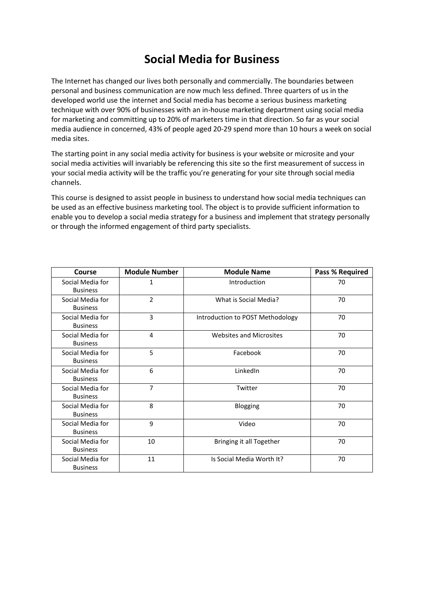## **Social Media for Business**

The Internet has changed our lives both personally and commercially. The boundaries between personal and business communication are now much less defined. Three quarters of us in the developed world use the internet and Social media has become a serious business marketing technique with over 90% of businesses with an in‐house marketing department using social media for marketing and committing up to 20% of marketers time in that direction. So far as your social media audience in concerned, 43% of people aged 20‐29 spend more than 10 hours a week on social media sites.

The starting point in any social media activity for business is your website or microsite and your social media activities will invariably be referencing this site so the first measurement of success in your social media activity will be the traffic you're generating for your site through social media channels.

This course is designed to assist people in business to understand how social media techniques can be used as an effective business marketing tool. The object is to provide sufficient information to enable you to develop a social media strategy for a business and implement that strategy personally or through the informed engagement of third party specialists.

| <b>Course</b>                       | <b>Module Number</b> | <b>Module Name</b>               | <b>Pass % Required</b> |
|-------------------------------------|----------------------|----------------------------------|------------------------|
| Social Media for<br><b>Business</b> | 1                    | Introduction                     | 70                     |
| Social Media for<br><b>Business</b> | $\overline{2}$       | What is Social Media?            | 70                     |
| Social Media for<br><b>Business</b> | 3                    | Introduction to POST Methodology | 70                     |
| Social Media for<br><b>Business</b> | 4                    | <b>Websites and Microsites</b>   | 70                     |
| Social Media for<br><b>Business</b> | 5                    | Facebook                         | 70                     |
| Social Media for<br><b>Business</b> | 6                    | LinkedIn                         | 70                     |
| Social Media for<br><b>Business</b> | 7                    | Twitter                          | 70                     |
| Social Media for<br><b>Business</b> | 8                    | Blogging                         | 70                     |
| Social Media for<br><b>Business</b> | 9                    | Video                            | 70                     |
| Social Media for<br><b>Business</b> | 10                   | Bringing it all Together         | 70                     |
| Social Media for<br><b>Business</b> | 11                   | Is Social Media Worth It?        | 70                     |